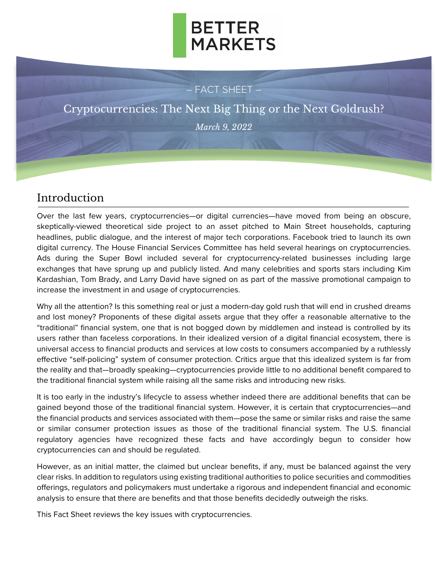## **BETTER MARKETS**

#### – FACT SHEET –

Cryptocurrencies: The Next Big Thing or the Next Goldrush? *March 9, 2022*

### Introduction

Over the last few years, cryptocurrencies—or digital currencies—have moved from being an obscure, skeptically-viewed theoretical side project to an asset pitched to Main Street households, capturing headlines, public dialogue, and the interest of major tech corporations. Facebook tried to launch its own digital currency. The House Financial Services Committee has held several hearings on cryptocurrencies. Ads during the Super Bowl included several for cryptocurrency-related businesses including large exchanges that have sprung up and publicly listed. And many celebrities and sports stars including Kim Kardashian, Tom Brady, and Larry David have signed on as part of the massive promotional campaign to increase the investment in and usage of cryptocurrencies.

Why all the attention? Is this something real or just a modern-day gold rush that will end in crushed dreams and lost money? Proponents of these digital assets argue that they offer a reasonable alternative to the "traditional" financial system, one that is not bogged down by middlemen and instead is controlled by its users rather than faceless corporations. In their idealized version of a digital financial ecosystem, there is universal access to financial products and services at low costs to consumers accompanied by a ruthlessly effective "self-policing" system of consumer protection. Critics argue that this idealized system is far from the reality and that—broadly speaking—cryptocurrencies provide little to no additional benefit compared to the traditional financial system while raising all the same risks and introducing new risks.

It is too early in the industry's lifecycle to assess whether indeed there are additional benefits that can be gained beyond those of the traditional financial system. However, it is certain that cryptocurrencies—and the financial products and services associated with them—pose the same or similar risks and raise the same or similar consumer protection issues as those of the traditional financial system. The U.S. financial regulatory agencies have recognized these facts and have accordingly begun to consider how cryptocurrencies can and should be regulated.

However, as an initial matter, the claimed but unclear benefits, if any, must be balanced against the very clear risks. In addition to regulators using existing traditional authorities to police securities and commodities offerings, regulators and policymakers must undertake a rigorous and independent financial and economic analysis to ensure that there are benefits and that those benefits decidedly outweigh the risks.

This Fact Sheet reviews the key issues with cryptocurrencies.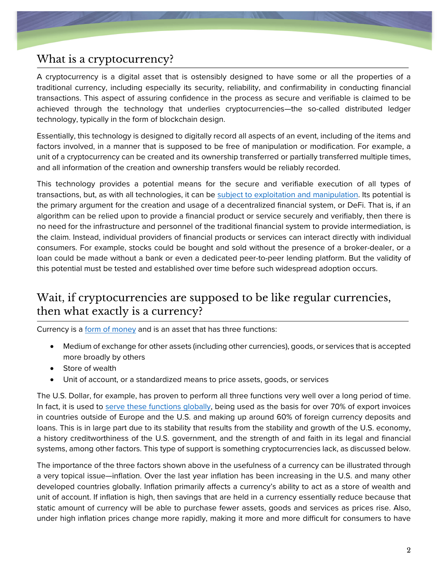### What is a cryptocurrency?

A cryptocurrency is a digital asset that is ostensibly designed to have some or all the properties of a traditional currency, including especially its security, reliability, and confirmability in conducting financial transactions. This aspect of assuring confidence in the process as secure and verifiable is claimed to be achieved through the technology that underlies cryptocurrencies—the so-called distributed ledger technology, typically in the form of blockchain design.

Essentially, this technology is designed to digitally record all aspects of an event, including of the items and factors involved, in a manner that is supposed to be free of manipulation or modification. For example, a unit of a cryptocurrency can be created and its ownership transferred or partially transferred multiple times, and all information of the creation and ownership transfers would be reliably recorded.

This technology provides a potential means for the secure and verifiable execution of all types of transactions, but, as with all technologies, it can be [subject to exploitation and manipulation.](https://www.technologyreview.com/2018/04/25/143246/how-secure-is-blockchain-really/) Its potential is the primary argument for the creation and usage of a decentralized financial system, or DeFi. That is, if an algorithm can be relied upon to provide a financial product or service securely and verifiably, then there is no need for the infrastructure and personnel of the traditional financial system to provide intermediation, is the claim. Instead, individual providers of financial products or services can interact directly with individual consumers. For example, stocks could be bought and sold without the presence of a broker-dealer, or a loan could be made without a bank or even a dedicated peer-to-peer lending platform. But the validity of this potential must be tested and established over time before such widespread adoption occurs.

### Wait, if cryptocurrencies are supposed to be like regular currencies, then what exactly is a currency?

Currency is a [form of money](https://www.stlouisfed.org/education/economic-lowdown-podcast-series/episode-9-functions-of-money) and is an asset that has three functions:

- Medium of exchange for other assets (including other currencies), goods, or services that is accepted more broadly by others
- Store of wealth
- Unit of account, or a standardized means to price assets, goods, or services

The U.S. Dollar, for example, has proven to perform all three functions very well over a long period of time. In fact, it is used to [serve these functions globally,](https://www.federalreserve.gov/econres/notes/feds-notes/the-international-role-of-the-u-s-dollar-20211006.htm) being used as the basis for over 70% of export invoices in countries outside of Europe and the U.S. and making up around 60% of foreign currency deposits and loans. This is in large part due to its stability that results from the stability and growth of the U.S. economy, a history creditworthiness of the U.S. government, and the strength of and faith in its legal and financial systems, among other factors. This type of support is something cryptocurrencies lack, as discussed below.

The importance of the three factors shown above in the usefulness of a currency can be illustrated through a very topical issue—inflation. Over the last year inflation has been increasing in the U.S. and many other developed countries globally. Inflation primarily affects a currency's ability to act as a store of wealth and unit of account. If inflation is high, then savings that are held in a currency essentially reduce because that static amount of currency will be able to purchase fewer assets, goods and services as prices rise. Also, under high inflation prices change more rapidly, making it more and more difficult for consumers to have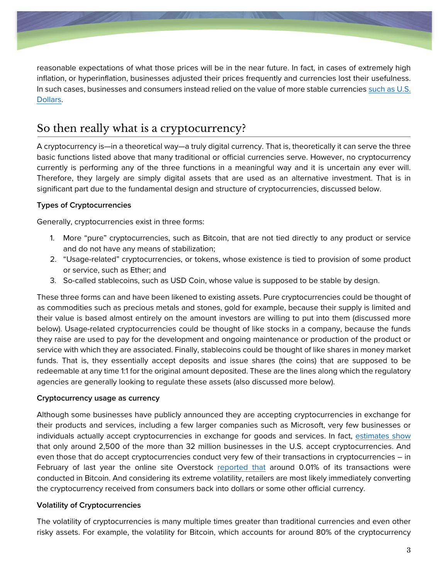

reasonable expectations of what those prices will be in the near future. In fact, in cases of extremely high inflation, or hyperinflation, businesses adjusted their prices frequently and currencies lost their usefulness. In such cases, businesses and consumers instead relied on the value of more stable currencies [such as U.S.](https://www.npr.org/sections/parallels/2014/12/16/370979773/argentinas-approach-to-inflation-ditch-the-peso-hoard-u-s-dollars)  [Dollars.](https://www.npr.org/sections/parallels/2014/12/16/370979773/argentinas-approach-to-inflation-ditch-the-peso-hoard-u-s-dollars)

### So then really what is a cryptocurrency?

A cryptocurrency is—in a theoretical way—a truly digital currency. That is, theoretically it can serve the three basic functions listed above that many traditional or official currencies serve. However, no cryptocurrency currently is performing any of the three functions in a meaningful way and it is uncertain any ever will. Therefore, they largely are simply digital assets that are used as an alternative investment. That is in significant part due to the fundamental design and structure of cryptocurrencies, discussed below.

#### **Types of Cryptocurrencies**

Generally, cryptocurrencies exist in three forms:

- 1. More "pure" cryptocurrencies, such as Bitcoin, that are not tied directly to any product or service and do not have any means of stabilization;
- 2. "Usage-related" cryptocurrencies, or tokens, whose existence is tied to provision of some product or service, such as Ether; and
- 3. So-called stablecoins, such as USD Coin, whose value is supposed to be stable by design.

These three forms can and have been likened to existing assets. Pure cryptocurrencies could be thought of as commodities such as precious metals and stones, gold for example, because their supply is limited and their value is based almost entirely on the amount investors are willing to put into them (discussed more below). Usage-related cryptocurrencies could be thought of like stocks in a company, because the funds they raise are used to pay for the development and ongoing maintenance or production of the product or service with which they are associated. Finally, stablecoins could be thought of like shares in money market funds. That is, they essentially accept deposits and issue shares (the coins) that are supposed to be redeemable at any time 1:1 for the original amount deposited. These are the lines along which the regulatory agencies are generally looking to regulate these assets (also discussed more below).

#### **Cryptocurrency usage as currency**

Although some businesses have publicly announced they are accepting cryptocurrencies in exchange for their products and services, including a few larger companies such as Microsoft, very few businesses or individuals actually accept cryptocurrencies in exchange for goods and services. In fact, [estimates show](https://coinmap.org/) that only around 2,500 of the more than 32 million businesses in the U.S. accept cryptocurrencies. And even those that do accept cryptocurrencies conduct very few of their transactions in cryptocurrencies – in February of last year the online site Overstock [reported that](https://www.nytimes.com/2021/02/03/style/what-can-you-actually-buy-with-bitcoin.html) around 0.01% of its transactions were conducted in Bitcoin. And considering its extreme volatility, retailers are most likely immediately converting the cryptocurrency received from consumers back into dollars or some other official currency.

#### **Volatility of Cryptocurrencies**

The volatility of cryptocurrencies is many multiple times greater than traditional currencies and even other risky assets. For example, the volatility for Bitcoin, which accounts for around 80% of the cryptocurrency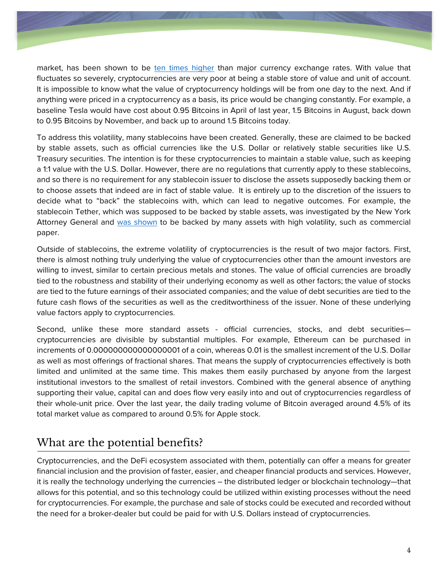

market, has been shown to be [ten times higher](https://link.springer.com/article/10.1007/s00181-020-01990-5) than major currency exchange rates. With value that fluctuates so severely, cryptocurrencies are very poor at being a stable store of value and unit of account. It is impossible to know what the value of cryptocurrency holdings will be from one day to the next. And if anything were priced in a cryptocurrency as a basis, its price would be changing constantly. For example, a baseline Tesla would have cost about 0.95 Bitcoins in April of last year, 1.5 Bitcoins in August, back down to 0.95 Bitcoins by November, and back up to around 1.5 Bitcoins today.

To address this volatility, many stablecoins have been created. Generally, these are claimed to be backed by stable assets, such as official currencies like the U.S. Dollar or relatively stable securities like U.S. Treasury securities. The intention is for these cryptocurrencies to maintain a stable value, such as keeping a 1:1 value with the U.S. Dollar. However, there are no regulations that currently apply to these stablecoins, and so there is no requirement for any stablecoin issuer to disclose the assets supposedly backing them or to choose assets that indeed are in fact of stable value. It is entirely up to the discretion of the issuers to decide what to "back" the stablecoins with, which can lead to negative outcomes. For example, the stablecoin Tether, which was supposed to be backed by stable assets, was investigated by the New York Attorney General and [was shown](https://www.jdsupra.com/legalnews/the-new-york-attorney-general-s-office-9385268/#:~:text=In%20a%20statement%2C%20New%20York,all%20times%20was%20a%20lie.) to be backed by many assets with high volatility, such as commercial paper.

Outside of stablecoins, the extreme volatility of cryptocurrencies is the result of two major factors. First, there is almost nothing truly underlying the value of cryptocurrencies other than the amount investors are willing to invest, similar to certain precious metals and stones. The value of official currencies are broadly tied to the robustness and stability of their underlying economy as well as other factors; the value of stocks are tied to the future earnings of their associated companies; and the value of debt securities are tied to the future cash flows of the securities as well as the creditworthiness of the issuer. None of these underlying value factors apply to cryptocurrencies.

Second, unlike these more standard assets - official currencies, stocks, and debt securities cryptocurrencies are divisible by substantial multiples. For example, Ethereum can be purchased in increments of 0.000000000000000001 of a coin, whereas 0.01 is the smallest increment of the U.S. Dollar as well as most offerings of fractional shares. That means the supply of cryptocurrencies effectively is both limited and unlimited at the same time. This makes them easily purchased by anyone from the largest institutional investors to the smallest of retail investors. Combined with the general absence of anything supporting their value, capital can and does flow very easily into and out of cryptocurrencies regardless of their whole-unit price. Over the last year, the daily trading volume of Bitcoin averaged around 4.5% of its total market value as compared to around 0.5% for Apple stock.

### What are the potential benefits?

Cryptocurrencies, and the DeFi ecosystem associated with them, potentially can offer a means for greater financial inclusion and the provision of faster, easier, and cheaper financial products and services. However, it is really the technology underlying the currencies – the distributed ledger or blockchain technology—that allows for this potential, and so this technology could be utilized within existing processes without the need for cryptocurrencies. For example, the purchase and sale of stocks could be executed and recorded without the need for a broker-dealer but could be paid for with U.S. Dollars instead of cryptocurrencies.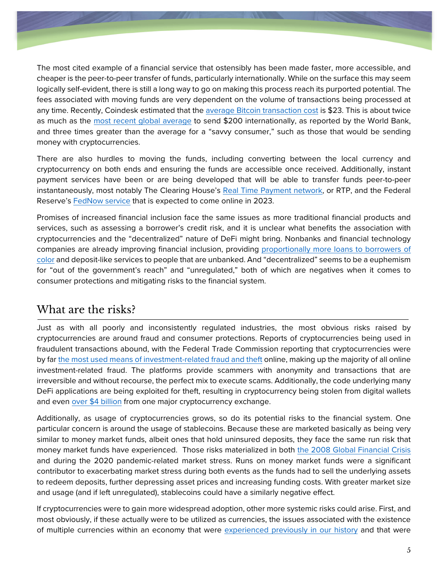

The most cited example of a financial service that ostensibly has been made faster, more accessible, and cheaper is the peer-to-peer transfer of funds, particularly internationally. While on the surface this may seem logically self-evident, there is still a long way to go on making this process reach its purported potential. The fees associated with moving funds are very dependent on the volume of transactions being processed at any time. Recently, Coindesk estimated that the [average Bitcoin transaction cost](https://www.coindesk.com/tech/2021/02/26/a-guide-to-saving-on-bitcoins-high-transaction-fees/#:~:text=The%20average%20bitcoin%20transaction%20fee%20is%20%2423.) is \$23. This is about twice as much as the [most recent global average](https://remittanceprices.worldbank.org/sites/default/files/rpw_main_report_and_annex_q321.pdf) to send \$200 internationally, as reported by the World Bank, and three times greater than the average for a "savvy consumer," such as those that would be sending money with cryptocurrencies.

There are also hurdles to moving the funds, including converting between the local currency and cryptocurrency on both ends and ensuring the funds are accessible once received. Additionally, instant payment services have been or are being developed that will be able to transfer funds peer-to-peer instantaneously, most notably The Clearing House's [Real Time Payment network,](https://www.theclearinghouse.org/payment-systems/rtp) or RTP, and the Federal Reserve's [FedNow service](https://www.federalreserve.gov/paymentsystems/fednow_about.htm) that is expected to come online in 2023.

Promises of increased financial inclusion face the same issues as more traditional financial products and services, such as assessing a borrower's credit risk, and it is unclear what benefits the association with cryptocurrencies and the "decentralized" nature of DeFi might bring. Nonbanks and financial technology companies are already improving financial inclusion, providing [proportionally more loans to borrowers of](https://www.urban.org/urban-wire/who-serves-more-people-color-mortgage-lending-banks-or-nonbanks-0)  [color](https://www.urban.org/urban-wire/who-serves-more-people-color-mortgage-lending-banks-or-nonbanks-0) and deposit-like services to people that are unbanked. And "decentralized" seems to be a euphemism for "out of the government's reach" and "unregulated," both of which are negatives when it comes to consumer protections and mitigating risks to the financial system.

### What are the risks?

Just as with all poorly and inconsistently regulated industries, the most obvious risks raised by cryptocurrencies are around fraud and consumer protections. Reports of cryptocurrencies being used in fraudulent transactions abound, with the Federal Trade Commission reporting that cryptocurrencies were by far [the most used means of investment-related fraud and theft](https://fortune.com/2022/01/31/crypto-investment-fraud-scams-social-media-crisis-federal-trade-commission/) online, making up the majority of all online investment-related fraud. The platforms provide scammers with anonymity and transactions that are irreversible and without recourse, the perfect mix to execute scams. Additionally, the code underlying many DeFi applications are being exploited for theft, resulting in cryptocurrency being stolen from digital wallets and even [over \\$4 billion](https://www.justice.gov/opa/pr/two-arrested-alleged-conspiracy-launder-45-billion-stolen-cryptocurrency) from one major cryptocurrency exchange.

Additionally, as usage of cryptocurrencies grows, so do its potential risks to the financial system. One particular concern is around the usage of stablecoins. Because these are marketed basically as being very similar to money market funds, albeit ones that hold uninsured deposits, they face the same run risk that money market funds have experienced. Those risks materialized in both [the 2008 Global Financial Crisis](https://libertystreeteconomics.newyorkfed.org/2012/06/money-market-funds-and-systemic-risk/) and during the 2020 pandemic-related market stress. Runs on money market funds were a significant contributor to exacerbating market stress during both events as the funds had to sell the underlying assets to redeem deposits, further depressing asset prices and increasing funding costs. With greater market size and usage (and if left unregulated), stablecoins could have a similarly negative effect.

If cryptocurrencies were to gain more widespread adoption, other more systemic risks could arise. First, and most obviously, if these actually were to be utilized as currencies, the issues associated with the existence of multiple currencies within an economy that were [experienced previously in our history](https://www.occ.treas.gov/news-issuances/speeches/2022/pub-speech-2022-2.pdf) and that were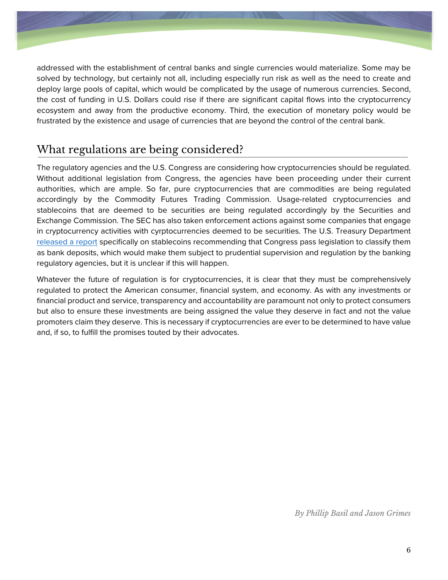

addressed with the establishment of central banks and single currencies would materialize. Some may be solved by technology, but certainly not all, including especially run risk as well as the need to create and deploy large pools of capital, which would be complicated by the usage of numerous currencies. Second, the cost of funding in U.S. Dollars could rise if there are significant capital flows into the cryptocurrency ecosystem and away from the productive economy. Third, the execution of monetary policy would be frustrated by the existence and usage of currencies that are beyond the control of the central bank.

### What regulations are being considered?

The regulatory agencies and the U.S. Congress are considering how cryptocurrencies should be regulated. Without additional legislation from Congress, the agencies have been proceeding under their current authorities, which are ample. So far, pure cryptocurrencies that are commodities are being regulated accordingly by the Commodity Futures Trading Commission. Usage-related cryptocurrencies and stablecoins that are deemed to be securities are being regulated accordingly by the Securities and Exchange Commission. The SEC has also taken enforcement actions against some companies that engage in cryptocurrency activities with cyrptocurrencies deemed to be securities. The U.S. Treasury Department [released a report](https://home.treasury.gov/system/files/136/StableCoinReport_Nov1_508.pdf) specifically on stablecoins recommending that Congress pass legislation to classify them as bank deposits, which would make them subject to prudential supervision and regulation by the banking regulatory agencies, but it is unclear if this will happen.

Whatever the future of regulation is for cryptocurrencies, it is clear that they must be comprehensively regulated to protect the American consumer, financial system, and economy. As with any investments or financial product and service, transparency and accountability are paramount not only to protect consumers but also to ensure these investments are being assigned the value they deserve in fact and not the value promoters claim they deserve. This is necessary if cryptocurrencies are ever to be determined to have value and, if so, to fulfill the promises touted by their advocates.

*By Phillip Basil and Jason Grimes*